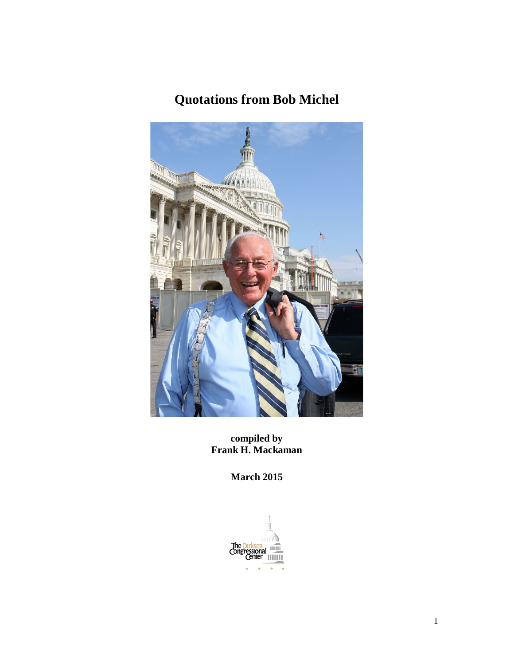# **Quotations from Bob Michel**



**compiled by Frank H. Mackaman**

**March 2015**

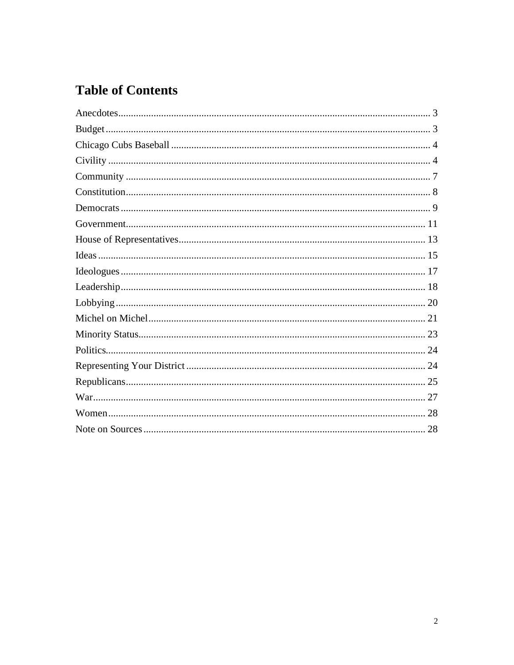# **Table of Contents**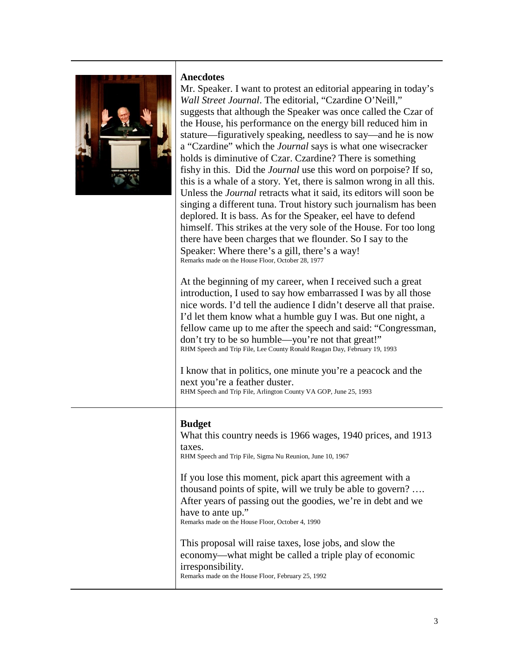

#### <span id="page-2-0"></span>**Anecdotes**

Mr. Speaker. I want to protest an editorial appearing in today's *Wall Street Journal*. The editorial, "Czardine O'Neill," suggests that although the Speaker was once called the Czar of the House, his performance on the energy bill reduced him in stature—figuratively speaking, needless to say—and he is now a "Czardine" which the *Journal* says is what one wisecracker holds is diminutive of Czar. Czardine? There is something fishy in this. Did the *Journal* use this word on porpoise? If so, this is a whale of a story. Yet, there is salmon wrong in all this. Unless the *Journal* retracts what it said, its editors will soon be singing a different tuna. Trout history such journalism has been deplored. It is bass. As for the Speaker, eel have to defend himself. This strikes at the very sole of the House. For too long there have been charges that we flounder. So I say to the Speaker: Where there's a gill, there's a way! Remarks made on the House Floor, October 28, 1977

At the beginning of my career, when I received such a great introduction, I used to say how embarrassed I was by all those nice words. I'd tell the audience I didn't deserve all that praise. I'd let them know what a humble guy I was. But one night, a fellow came up to me after the speech and said: "Congressman, don't try to be so humble—you're not that great!" RHM Speech and Trip File, Lee County Ronald Reagan Day, February 19, 1993

I know that in politics, one minute you're a peacock and the next you're a feather duster. RHM Speech and Trip File, Arlington County VA GOP, June 25, 1993

## <span id="page-2-1"></span>**Budget**

What this country needs is 1966 wages, 1940 prices, and 1913 taxes.

RHM Speech and Trip File, Sigma Nu Reunion, June 10, 1967

If you lose this moment, pick apart this agreement with a thousand points of spite, will we truly be able to govern? …. After years of passing out the goodies, we're in debt and we have to ante up." Remarks made on the House Floor, October 4, 1990

This proposal will raise taxes, lose jobs, and slow the economy—what might be called a triple play of economic irresponsibility. Remarks made on the House Floor, February 25, 1992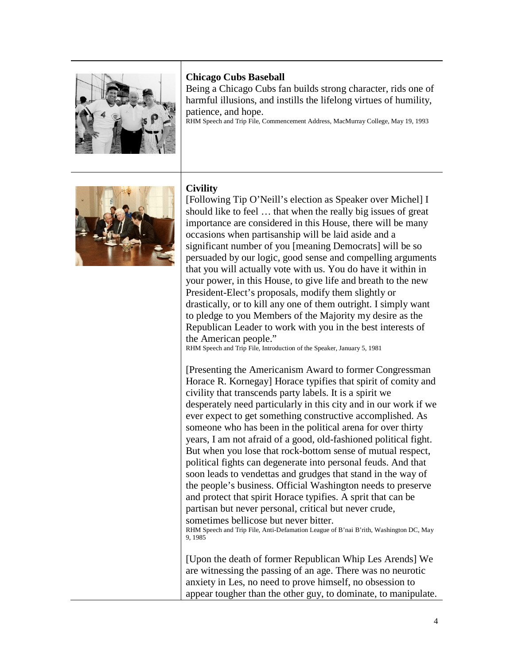

## <span id="page-3-0"></span>**Chicago Cubs Baseball**

Being a Chicago Cubs fan builds strong character, rids one of harmful illusions, and instills the lifelong virtues of humility, patience, and hope.

RHM Speech and Trip File, Commencement Address, MacMurray College, May 19, 1993



# <span id="page-3-1"></span>**Civility**

[Following Tip O'Neill's election as Speaker over Michel] I should like to feel … that when the really big issues of great importance are considered in this House, there will be many occasions when partisanship will be laid aside and a significant number of you [meaning Democrats] will be so persuaded by our logic, good sense and compelling arguments that you will actually vote with us. You do have it within in your power, in this House, to give life and breath to the new President-Elect's proposals, modify them slightly or drastically, or to kill any one of them outright. I simply want to pledge to you Members of the Majority my desire as the Republican Leader to work with you in the best interests of the American people."

RHM Speech and Trip File, Introduction of the Speaker, January 5, 1981

[Presenting the Americanism Award to former Congressman Horace R. Kornegay] Horace typifies that spirit of comity and civility that transcends party labels. It is a spirit we desperately need particularly in this city and in our work if we ever expect to get something constructive accomplished. As someone who has been in the political arena for over thirty years, I am not afraid of a good, old-fashioned political fight. But when you lose that rock-bottom sense of mutual respect, political fights can degenerate into personal feuds. And that soon leads to vendettas and grudges that stand in the way of the people's business. Official Washington needs to preserve and protect that spirit Horace typifies. A sprit that can be partisan but never personal, critical but never crude, sometimes bellicose but never bitter.

RHM Speech and Trip File, Anti-Defamation League of B'nai B'rith, Washington DC, May 9, 1985

[Upon the death of former Republican Whip Les Arends] We are witnessing the passing of an age. There was no neurotic anxiety in Les, no need to prove himself, no obsession to appear tougher than the other guy, to dominate, to manipulate.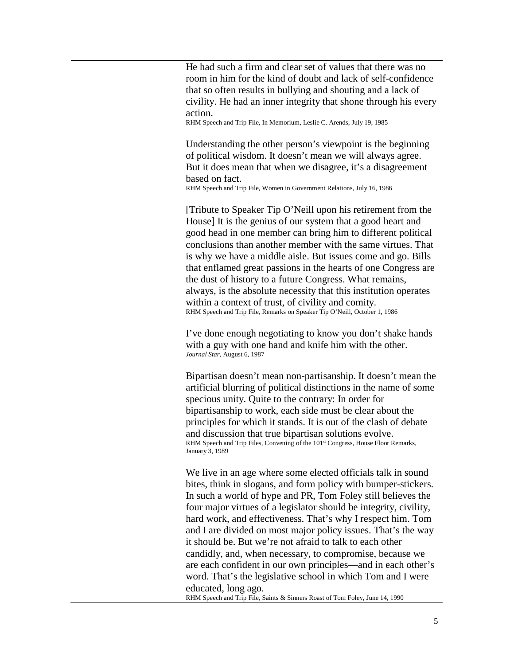| He had such a firm and clear set of values that there was no<br>room in him for the kind of doubt and lack of self-confidence                                                                                                                                                                                                                                                                                                                                                                                                                                                                                                                                                                                                                                     |
|-------------------------------------------------------------------------------------------------------------------------------------------------------------------------------------------------------------------------------------------------------------------------------------------------------------------------------------------------------------------------------------------------------------------------------------------------------------------------------------------------------------------------------------------------------------------------------------------------------------------------------------------------------------------------------------------------------------------------------------------------------------------|
| that so often results in bullying and shouting and a lack of<br>civility. He had an inner integrity that shone through his every                                                                                                                                                                                                                                                                                                                                                                                                                                                                                                                                                                                                                                  |
| action.                                                                                                                                                                                                                                                                                                                                                                                                                                                                                                                                                                                                                                                                                                                                                           |
| RHM Speech and Trip File, In Memorium, Leslie C. Arends, July 19, 1985                                                                                                                                                                                                                                                                                                                                                                                                                                                                                                                                                                                                                                                                                            |
| Understanding the other person's viewpoint is the beginning<br>of political wisdom. It doesn't mean we will always agree.                                                                                                                                                                                                                                                                                                                                                                                                                                                                                                                                                                                                                                         |
| But it does mean that when we disagree, it's a disagreement                                                                                                                                                                                                                                                                                                                                                                                                                                                                                                                                                                                                                                                                                                       |
| based on fact.<br>RHM Speech and Trip File, Women in Government Relations, July 16, 1986                                                                                                                                                                                                                                                                                                                                                                                                                                                                                                                                                                                                                                                                          |
| [Tribute to Speaker Tip O'Neill upon his retirement from the<br>House] It is the genius of our system that a good heart and<br>good head in one member can bring him to different political<br>conclusions than another member with the same virtues. That<br>is why we have a middle aisle. But issues come and go. Bills<br>that enflamed great passions in the hearts of one Congress are<br>the dust of history to a future Congress. What remains,<br>always, is the absolute necessity that this institution operates<br>within a context of trust, of civility and comity.<br>RHM Speech and Trip File, Remarks on Speaker Tip O'Neill, October 1, 1986                                                                                                    |
| I've done enough negotiating to know you don't shake hands<br>with a guy with one hand and knife him with the other.<br>Journal Star, August 6, 1987                                                                                                                                                                                                                                                                                                                                                                                                                                                                                                                                                                                                              |
| Bipartisan doesn't mean non-partisanship. It doesn't mean the<br>artificial blurring of political distinctions in the name of some<br>specious unity. Quite to the contrary: In order for<br>bipartisanship to work, each side must be clear about the<br>principles for which it stands. It is out of the clash of debate<br>and discussion that true bipartisan solutions evolve<br>RHM Speech and Trip Files, Convening of the 101 <sup>st</sup> Congress, House Floor Remarks,<br>January 3, 1989                                                                                                                                                                                                                                                             |
| We live in an age where some elected officials talk in sound<br>bites, think in slogans, and form policy with bumper-stickers.<br>In such a world of hype and PR, Tom Foley still believes the<br>four major virtues of a legislator should be integrity, civility,<br>hard work, and effectiveness. That's why I respect him. Tom<br>and I are divided on most major policy issues. That's the way<br>it should be. But we're not afraid to talk to each other<br>candidly, and, when necessary, to compromise, because we<br>are each confident in our own principles—and in each other's<br>word. That's the legislative school in which Tom and I were<br>educated, long ago.<br>RHM Speech and Trip File, Saints & Sinners Roast of Tom Foley, June 14, 1990 |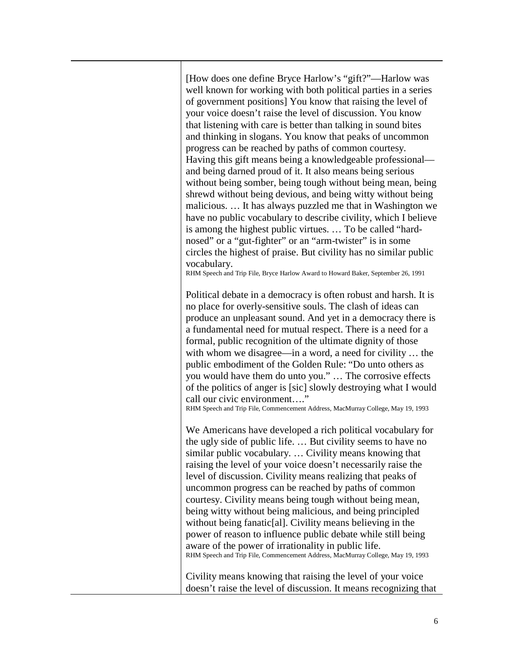[How does one define Bryce Harlow's "gift?"—Harlow was well known for working with both political parties in a series of government positions] You know that raising the level of your voice doesn't raise the level of discussion. You know that listening with care is better than talking in sound bites and thinking in slogans. You know that peaks of uncommon progress can be reached by paths of common courtesy. Having this gift means being a knowledgeable professional and being darned proud of it. It also means being serious without being somber, being tough without being mean, being shrewd without being devious, and being witty without being malicious. … It has always puzzled me that in Washington we have no public vocabulary to describe civility, which I believe is among the highest public virtues. … To be called "hardnosed" or a "gut-fighter" or an "arm-twister" is in some circles the highest of praise. But civility has no similar public vocabulary.

RHM Speech and Trip File, Bryce Harlow Award to Howard Baker, September 26, 1991

Political debate in a democracy is often robust and harsh. It is no place for overly-sensitive souls. The clash of ideas can produce an unpleasant sound. And yet in a democracy there is a fundamental need for mutual respect. There is a need for a formal, public recognition of the ultimate dignity of those with whom we disagree—in a word, a need for civility … the public embodiment of the Golden Rule: "Do unto others as you would have them do unto you." … The corrosive effects of the politics of anger is [sic] slowly destroying what I would call our civic environment…."

RHM Speech and Trip File, Commencement Address, MacMurray College, May 19, 1993

We Americans have developed a rich political vocabulary for the ugly side of public life. … But civility seems to have no similar public vocabulary. … Civility means knowing that raising the level of your voice doesn't necessarily raise the level of discussion. Civility means realizing that peaks of uncommon progress can be reached by paths of common courtesy. Civility means being tough without being mean, being witty without being malicious, and being principled without being fanatic<sup>[al]</sup>. Civility means believing in the power of reason to influence public debate while still being aware of the power of irrationality in public life. RHM Speech and Trip File, Commencement Address, MacMurray College, May 19, 1993

Civility means knowing that raising the level of your voice doesn't raise the level of discussion. It means recognizing that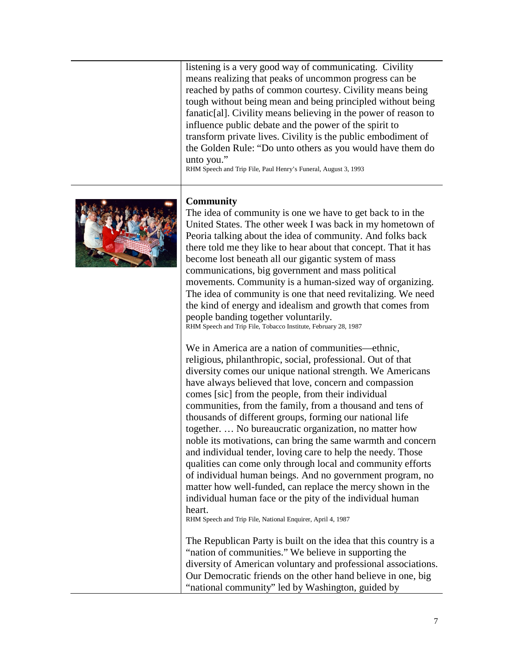listening is a very good way of communicating. Civility means realizing that peaks of uncommon progress can be reached by paths of common courtesy. Civility means being tough without being mean and being principled without being fanatic[al]. Civility means believing in the power of reason to influence public debate and the power of the spirit to transform private lives. Civility is the public embodiment of the Golden Rule: "Do unto others as you would have them do unto you."

RHM Speech and Trip File, Paul Henry's Funeral, August 3, 1993



## <span id="page-6-0"></span>**Community**

The idea of community is one we have to get back to in the United States. The other week I was back in my hometown of Peoria talking about the idea of community. And folks back there told me they like to hear about that concept. That it has become lost beneath all our gigantic system of mass communications, big government and mass political movements. Community is a human-sized way of organizing. The idea of community is one that need revitalizing. We need the kind of energy and idealism and growth that comes from people banding together voluntarily. RHM Speech and Trip File, Tobacco Institute, February 28, 1987

We in America are a nation of communities—ethnic, religious, philanthropic, social, professional. Out of that diversity comes our unique national strength. We Americans have always believed that love, concern and compassion comes [sic] from the people, from their individual communities, from the family, from a thousand and tens of thousands of different groups, forming our national life together. … No bureaucratic organization, no matter how noble its motivations, can bring the same warmth and concern and individual tender, loving care to help the needy. Those qualities can come only through local and community efforts of individual human beings. And no government program, no matter how well-funded, can replace the mercy shown in the individual human face or the pity of the individual human heart.

RHM Speech and Trip File, National Enquirer, April 4, 1987

The Republican Party is built on the idea that this country is a "nation of communities." We believe in supporting the diversity of American voluntary and professional associations. Our Democratic friends on the other hand believe in one, big "national community" led by Washington, guided by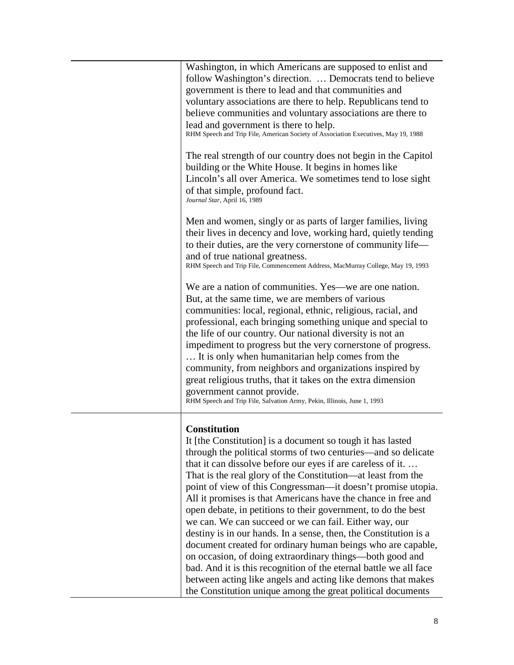| Washington, in which Americans are supposed to enlist and<br>follow Washington's direction.  Democrats tend to believe<br>government is there to lead and that communities and<br>voluntary associations are there to help. Republicans tend to<br>believe communities and voluntary associations are there to<br>lead and government is there to help.<br>RHM Speech and Trip File, American Society of Association Executives, May 19, 1988                                                                                                                                                                                                                                                                                                                                                                    |
|------------------------------------------------------------------------------------------------------------------------------------------------------------------------------------------------------------------------------------------------------------------------------------------------------------------------------------------------------------------------------------------------------------------------------------------------------------------------------------------------------------------------------------------------------------------------------------------------------------------------------------------------------------------------------------------------------------------------------------------------------------------------------------------------------------------|
| The real strength of our country does not begin in the Capitol<br>building or the White House. It begins in homes like<br>Lincoln's all over America. We sometimes tend to lose sight<br>of that simple, profound fact.<br>Journal Star, April 16, 1989                                                                                                                                                                                                                                                                                                                                                                                                                                                                                                                                                          |
| Men and women, singly or as parts of larger families, living<br>their lives in decency and love, working hard, quietly tending<br>to their duties, are the very cornerstone of community life-<br>and of true national greatness.<br>RHM Speech and Trip File, Commencement Address, MacMurray College, May 19, 1993                                                                                                                                                                                                                                                                                                                                                                                                                                                                                             |
| We are a nation of communities. Yes—we are one nation.<br>But, at the same time, we are members of various<br>communities: local, regional, ethnic, religious, racial, and<br>professional, each bringing something unique and special to<br>the life of our country. Our national diversity is not an<br>impediment to progress but the very cornerstone of progress.<br>It is only when humanitarian help comes from the<br>community, from neighbors and organizations inspired by<br>great religious truths, that it takes on the extra dimension<br>government cannot provide.<br>RHM Speech and Trip File, Salvation Army, Pekin, Illinois, June 1, 1993                                                                                                                                                   |
| <b>Constitution</b><br>It [the Constitution] is a document so tough it has lasted<br>through the political storms of two centuries—and so delicate<br>that it can dissolve before our eyes if are careless of it<br>That is the real glory of the Constitution—at least from the<br>point of view of this Congressman—it doesn't promise utopia.<br>All it promises is that Americans have the chance in free and<br>open debate, in petitions to their government, to do the best<br>we can. We can succeed or we can fail. Either way, our<br>destiny is in our hands. In a sense, then, the Constitution is a<br>document created for ordinary human beings who are capable,<br>on occasion, of doing extraordinary things—both good and<br>bad. And it is this recognition of the eternal battle we all face |

<span id="page-7-0"></span>between acting like angels and acting like demons that makes the Constitution unique among the great political documents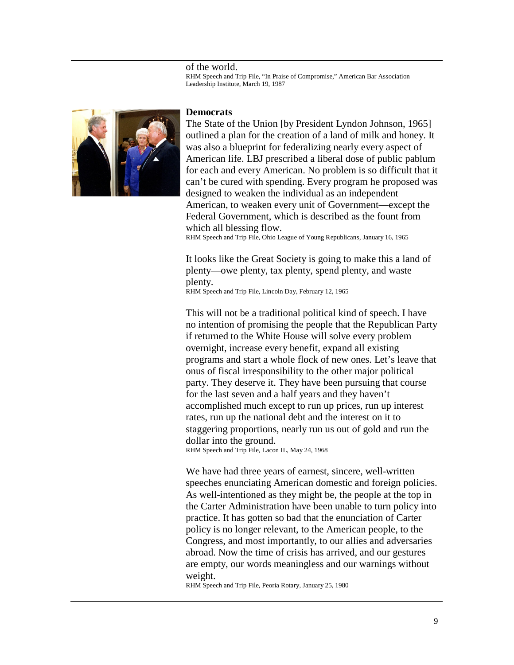of the world. RHM Speech and Trip File, "In Praise of Compromise," American Bar Association Leadership Institute, March 19, 1987



#### <span id="page-8-0"></span>**Democrats**

The State of the Union [by President Lyndon Johnson, 1965] outlined a plan for the creation of a land of milk and honey. It was also a blueprint for federalizing nearly every aspect of American life. LBJ prescribed a liberal dose of public pablum for each and every American. No problem is so difficult that it can't be cured with spending. Every program he proposed was designed to weaken the individual as an independent American, to weaken every unit of Government—except the Federal Government, which is described as the fount from which all blessing flow.

RHM Speech and Trip File, Ohio League of Young Republicans, January 16, 1965

It looks like the Great Society is going to make this a land of plenty—owe plenty, tax plenty, spend plenty, and waste plenty.

RHM Speech and Trip File, Lincoln Day, February 12, 1965

This will not be a traditional political kind of speech. I have no intention of promising the people that the Republican Party if returned to the White House will solve every problem overnight, increase every benefit, expand all existing programs and start a whole flock of new ones. Let's leave that onus of fiscal irresponsibility to the other major political party. They deserve it. They have been pursuing that course for the last seven and a half years and they haven't accomplished much except to run up prices, run up interest rates, run up the national debt and the interest on it to staggering proportions, nearly run us out of gold and run the dollar into the ground.

RHM Speech and Trip File, Lacon IL, May 24, 1968

We have had three years of earnest, sincere, well-written speeches enunciating American domestic and foreign policies. As well-intentioned as they might be, the people at the top in the Carter Administration have been unable to turn policy into practice. It has gotten so bad that the enunciation of Carter policy is no longer relevant, to the American people, to the Congress, and most importantly, to our allies and adversaries abroad. Now the time of crisis has arrived, and our gestures are empty, our words meaningless and our warnings without weight.

RHM Speech and Trip File, Peoria Rotary, January 25, 1980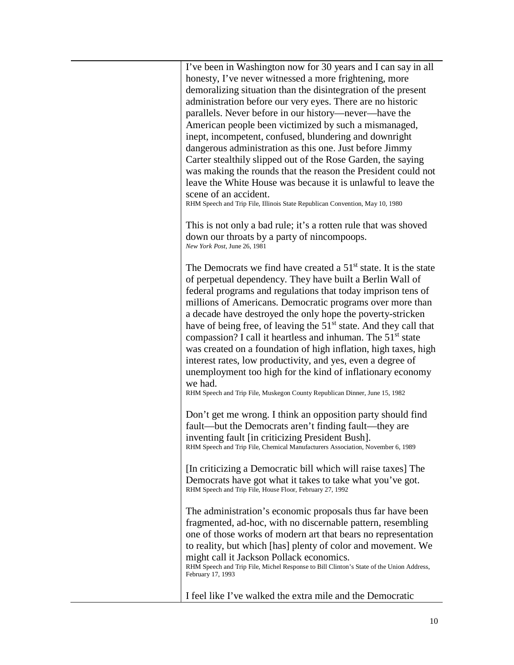| I've been in Washington now for 30 years and I can say in all<br>honesty, I've never witnessed a more frightening, more<br>demoralizing situation than the disintegration of the present<br>administration before our very eyes. There are no historic<br>parallels. Never before in our history—never—have the<br>American people been victimized by such a mismanaged,<br>inept, incompetent, confused, blundering and downright<br>dangerous administration as this one. Just before Jimmy<br>Carter stealthily slipped out of the Rose Garden, the saying<br>was making the rounds that the reason the President could not<br>leave the White House was because it is unlawful to leave the<br>scene of an accident.<br>RHM Speech and Trip File, Illinois State Republican Convention, May 10, 1980 |
|----------------------------------------------------------------------------------------------------------------------------------------------------------------------------------------------------------------------------------------------------------------------------------------------------------------------------------------------------------------------------------------------------------------------------------------------------------------------------------------------------------------------------------------------------------------------------------------------------------------------------------------------------------------------------------------------------------------------------------------------------------------------------------------------------------|
| This is not only a bad rule; it's a rotten rule that was shoved<br>down our throats by a party of nincompoops.<br>New York Post, June 26, 1981                                                                                                                                                                                                                                                                                                                                                                                                                                                                                                                                                                                                                                                           |
| The Democrats we find have created a $51st$ state. It is the state<br>of perpetual dependency. They have built a Berlin Wall of<br>federal programs and regulations that today imprison tens of<br>millions of Americans. Democratic programs over more than<br>a decade have destroyed the only hope the poverty-stricken<br>have of being free, of leaving the 51 <sup>st</sup> state. And they call that<br>compassion? I call it heartless and inhuman. The 51 <sup>st</sup> state<br>was created on a foundation of high inflation, high taxes, high<br>interest rates, low productivity, and yes, even a degree of<br>unemployment too high for the kind of inflationary economy<br>we had.<br>RHM Speech and Trip File, Muskegon County Republican Dinner, June 15, 1982                          |
| Don't get me wrong. I think an opposition party should find<br>fault—but the Democrats aren't finding fault—they are<br>inventing fault [in criticizing President Bush].<br>RHM Speech and Trip File, Chemical Manufacturers Association, November 6, 1989                                                                                                                                                                                                                                                                                                                                                                                                                                                                                                                                               |
| [In criticizing a Democratic bill which will raise taxes] The<br>Democrats have got what it takes to take what you've got.<br>RHM Speech and Trip File, House Floor, February 27, 1992                                                                                                                                                                                                                                                                                                                                                                                                                                                                                                                                                                                                                   |
| The administration's economic proposals thus far have been<br>fragmented, ad-hoc, with no discernable pattern, resembling<br>one of those works of modern art that bears no representation<br>to reality, but which [has] plenty of color and movement. We<br>might call it Jackson Pollack economics.<br>RHM Speech and Trip File, Michel Response to Bill Clinton's State of the Union Address,<br>February 17, 1993                                                                                                                                                                                                                                                                                                                                                                                   |
| I feel like I've walked the extra mile and the Democratic                                                                                                                                                                                                                                                                                                                                                                                                                                                                                                                                                                                                                                                                                                                                                |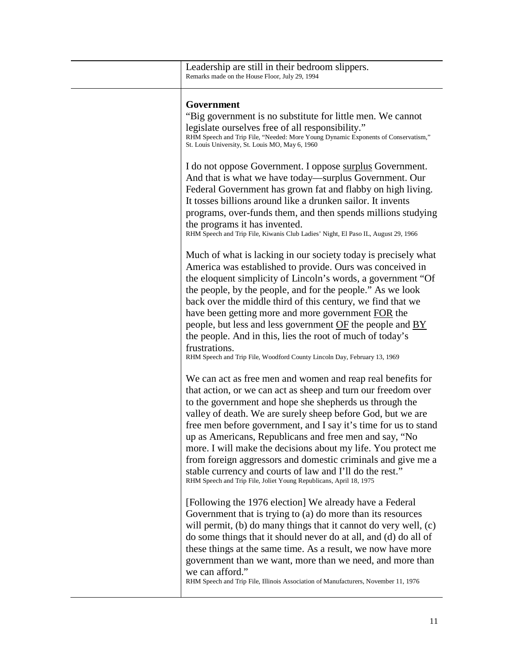<span id="page-10-0"></span>

| Leadership are still in their bedroom slippers.<br>Remarks made on the House Floor, July 29, 1994                                                                                                                                                                                                                                                                                                                                                                                                                                                                                                                                                                                                                                  |
|------------------------------------------------------------------------------------------------------------------------------------------------------------------------------------------------------------------------------------------------------------------------------------------------------------------------------------------------------------------------------------------------------------------------------------------------------------------------------------------------------------------------------------------------------------------------------------------------------------------------------------------------------------------------------------------------------------------------------------|
| Government<br>"Big government is no substitute for little men. We cannot<br>legislate ourselves free of all responsibility."<br>RHM Speech and Trip File, "Needed: More Young Dynamic Exponents of Conservatism,"<br>St. Louis University, St. Louis MO, May 6, 1960                                                                                                                                                                                                                                                                                                                                                                                                                                                               |
| I do not oppose Government. I oppose surplus Government.<br>And that is what we have today—surplus Government. Our<br>Federal Government has grown fat and flabby on high living.<br>It tosses billions around like a drunken sailor. It invents<br>programs, over-funds them, and then spends millions studying<br>the programs it has invented.<br>RHM Speech and Trip File, Kiwanis Club Ladies' Night, El Paso IL, August 29, 1966                                                                                                                                                                                                                                                                                             |
| Much of what is lacking in our society today is precisely what<br>America was established to provide. Ours was conceived in<br>the eloquent simplicity of Lincoln's words, a government "Of<br>the people, by the people, and for the people." As we look<br>back over the middle third of this century, we find that we<br>have been getting more and more government FOR the<br>people, but less and less government OF the people and BY<br>the people. And in this, lies the root of much of today's<br>frustrations.                                                                                                                                                                                                          |
| RHM Speech and Trip File, Woodford County Lincoln Day, February 13, 1969<br>We can act as free men and women and reap real benefits for<br>that action, or we can act as sheep and turn our freedom over<br>to the government and hope she shepherds us through the<br>valley of death. We are surely sheep before God, but we are<br>free men before government, and I say it's time for us to stand<br>up as Americans, Republicans and free men and say, "No<br>more. I will make the decisions about my life. You protect me<br>from foreign aggressors and domestic criminals and give me a<br>stable currency and courts of law and I'll do the rest."<br>RHM Speech and Trip File, Joliet Young Republicans, April 18, 1975 |
| [Following the 1976 election] We already have a Federal<br>Government that is trying to (a) do more than its resources<br>will permit, $(b)$ do many things that it cannot do very well, $(c)$<br>do some things that it should never do at all, and (d) do all of<br>these things at the same time. As a result, we now have more<br>government than we want, more than we need, and more than<br>we can afford."<br>RHM Speech and Trip File, Illinois Association of Manufacturers, November 11, 1976                                                                                                                                                                                                                           |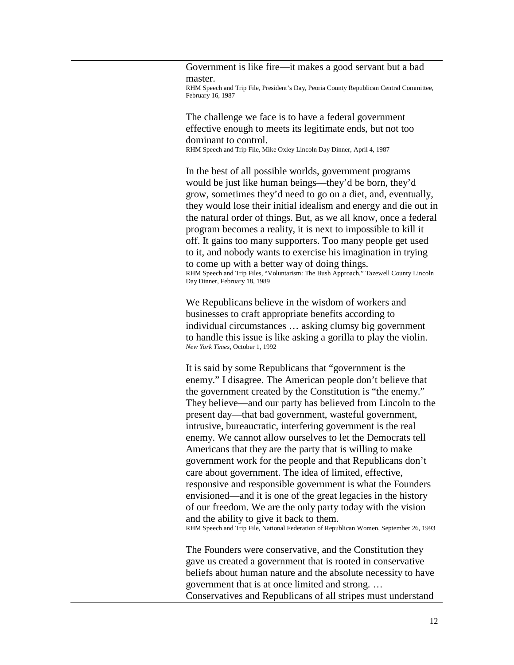| Government is like fire—it makes a good servant but a bad                                                                                                                                                                                                                                                                                                                                                                                                                                                                                                                                                                                                                                                                                                                                                                                                                                                                                                      |
|----------------------------------------------------------------------------------------------------------------------------------------------------------------------------------------------------------------------------------------------------------------------------------------------------------------------------------------------------------------------------------------------------------------------------------------------------------------------------------------------------------------------------------------------------------------------------------------------------------------------------------------------------------------------------------------------------------------------------------------------------------------------------------------------------------------------------------------------------------------------------------------------------------------------------------------------------------------|
| master.<br>RHM Speech and Trip File, President's Day, Peoria County Republican Central Committee,<br>February 16, 1987                                                                                                                                                                                                                                                                                                                                                                                                                                                                                                                                                                                                                                                                                                                                                                                                                                         |
| The challenge we face is to have a federal government<br>effective enough to meets its legitimate ends, but not too                                                                                                                                                                                                                                                                                                                                                                                                                                                                                                                                                                                                                                                                                                                                                                                                                                            |
| dominant to control.<br>RHM Speech and Trip File, Mike Oxley Lincoln Day Dinner, April 4, 1987                                                                                                                                                                                                                                                                                                                                                                                                                                                                                                                                                                                                                                                                                                                                                                                                                                                                 |
| In the best of all possible worlds, government programs<br>would be just like human beings—they'd be born, they'd<br>grow, sometimes they'd need to go on a diet, and, eventually,<br>they would lose their initial idealism and energy and die out in<br>the natural order of things. But, as we all know, once a federal<br>program becomes a reality, it is next to impossible to kill it<br>off. It gains too many supporters. Too many people get used<br>to it, and nobody wants to exercise his imagination in trying<br>to come up with a better way of doing things.<br>RHM Speech and Trip Files, "Voluntarism: The Bush Approach," Tazewell County Lincoln<br>Day Dinner, February 18, 1989                                                                                                                                                                                                                                                         |
| We Republicans believe in the wisdom of workers and<br>businesses to craft appropriate benefits according to<br>individual circumstances  asking clumsy big government<br>to handle this issue is like asking a gorilla to play the violin.<br>New York Times, October 1, 1992                                                                                                                                                                                                                                                                                                                                                                                                                                                                                                                                                                                                                                                                                 |
| It is said by some Republicans that "government is the<br>enemy." I disagree. The American people don't believe that<br>the government created by the Constitution is "the enemy."<br>They believe—and our party has believed from Lincoln to the<br>present day—that bad government, wasteful government,<br>intrusive, bureaucratic, interfering government is the real<br>enemy. We cannot allow ourselves to let the Democrats tell<br>Americans that they are the party that is willing to make<br>government work for the people and that Republicans don't<br>care about government. The idea of limited, effective,<br>responsive and responsible government is what the Founders<br>envisioned—and it is one of the great legacies in the history<br>of our freedom. We are the only party today with the vision<br>and the ability to give it back to them.<br>RHM Speech and Trip File, National Federation of Republican Women, September 26, 1993 |
| The Founders were conservative, and the Constitution they<br>gave us created a government that is rooted in conservative<br>beliefs about human nature and the absolute necessity to have<br>government that is at once limited and strong<br>Conservatives and Republicans of all stripes must understand                                                                                                                                                                                                                                                                                                                                                                                                                                                                                                                                                                                                                                                     |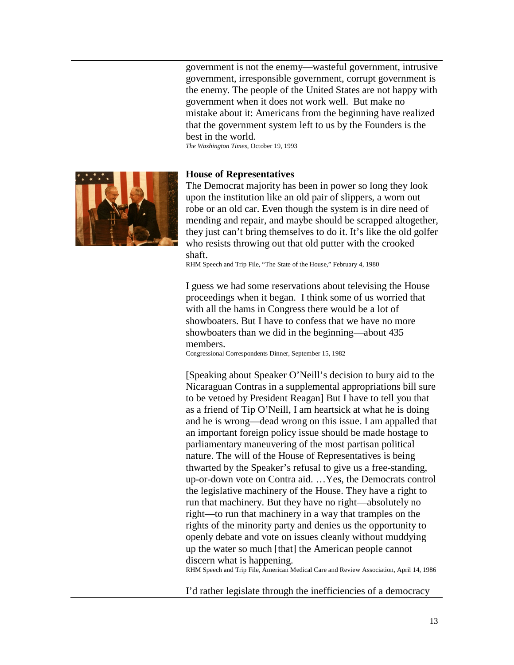government is not the enemy—wasteful government, intrusive government, irresponsible government, corrupt government is the enemy. The people of the United States are not happy with government when it does not work well. But make no mistake about it: Americans from the beginning have realized that the government system left to us by the Founders is the best in the world.

*The Washington Times*, October 19, 1993



#### <span id="page-12-0"></span>**House of Representatives**

The Democrat majority has been in power so long they look upon the institution like an old pair of slippers, a worn out robe or an old car. Even though the system is in dire need of mending and repair, and maybe should be scrapped altogether, they just can't bring themselves to do it. It's like the old golfer who resists throwing out that old putter with the crooked shaft.

RHM Speech and Trip File, "The State of the House," February 4, 1980

I guess we had some reservations about televising the House proceedings when it began. I think some of us worried that with all the hams in Congress there would be a lot of showboaters. But I have to confess that we have no more showboaters than we did in the beginning—about 435 members.

Congressional Correspondents Dinner, September 15, 1982

[Speaking about Speaker O'Neill's decision to bury aid to the Nicaraguan Contras in a supplemental appropriations bill sure to be vetoed by President Reagan] But I have to tell you that as a friend of Tip O'Neill, I am heartsick at what he is doing and he is wrong—dead wrong on this issue. I am appalled that an important foreign policy issue should be made hostage to parliamentary maneuvering of the most partisan political nature. The will of the House of Representatives is being thwarted by the Speaker's refusal to give us a free-standing, up-or-down vote on Contra aid. …Yes, the Democrats control the legislative machinery of the House. They have a right to run that machinery. But they have no right—absolutely no right—to run that machinery in a way that tramples on the rights of the minority party and denies us the opportunity to openly debate and vote on issues cleanly without muddying up the water so much [that] the American people cannot discern what is happening. RHM Speech and Trip File, American Medical Care and Review Association, April 14, 1986

I'd rather legislate through the inefficiencies of a democracy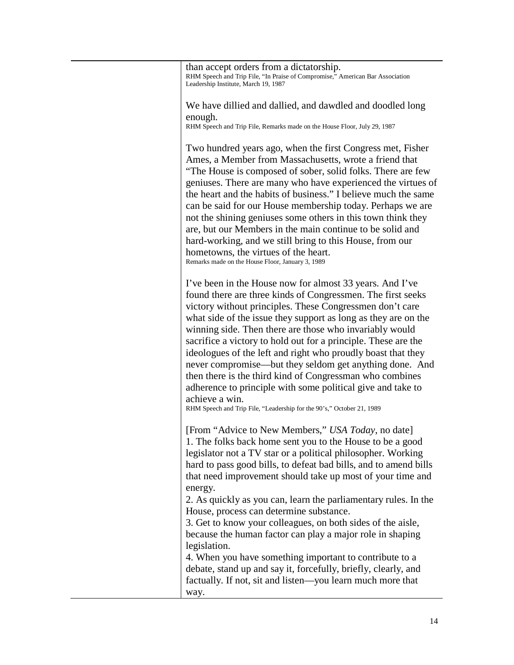than accept orders from a dictatorship. RHM Speech and Trip File, "In Praise of Compromise," American Bar Association Leadership Institute, March 19, 1987

We have dillied and dallied, and dawdled and doodled long enough.

RHM Speech and Trip File, Remarks made on the House Floor, July 29, 1987

Two hundred years ago, when the first Congress met, Fisher Ames, a Member from Massachusetts, wrote a friend that "The House is composed of sober, solid folks. There are few geniuses. There are many who have experienced the virtues of the heart and the habits of business." I believe much the same can be said for our House membership today. Perhaps we are not the shining geniuses some others in this town think they are, but our Members in the main continue to be solid and hard-working, and we still bring to this House, from our hometowns, the virtues of the heart. Remarks made on the House Floor, January 3, 1989

I've been in the House now for almost 33 years. And I've found there are three kinds of Congressmen. The first seeks victory without principles. These Congressmen don't care what side of the issue they support as long as they are on the winning side. Then there are those who invariably would sacrifice a victory to hold out for a principle. These are the ideologues of the left and right who proudly boast that they never compromise—but they seldom get anything done. And then there is the third kind of Congressman who combines adherence to principle with some political give and take to achieve a win.

RHM Speech and Trip File, "Leadership for the 90's," October 21, 1989

[From "Advice to New Members," *USA Today*, no date] 1. The folks back home sent you to the House to be a good legislator not a TV star or a political philosopher. Working hard to pass good bills, to defeat bad bills, and to amend bills that need improvement should take up most of your time and energy.

2. As quickly as you can, learn the parliamentary rules. In the House, process can determine substance.

3. Get to know your colleagues, on both sides of the aisle, because the human factor can play a major role in shaping legislation.

4. When you have something important to contribute to a debate, stand up and say it, forcefully, briefly, clearly, and factually. If not, sit and listen—you learn much more that way.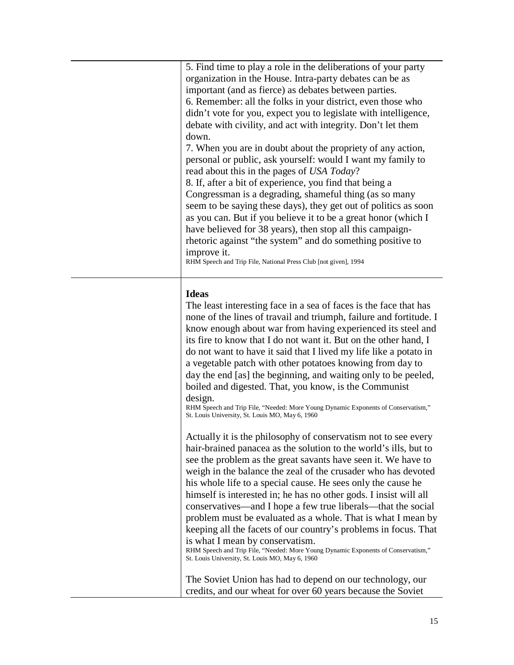| 5. Find time to play a role in the deliberations of your party<br>organization in the House. Intra-party debates can be as<br>important (and as fierce) as debates between parties.<br>6. Remember: all the folks in your district, even those who<br>didn't vote for you, expect you to legislate with intelligence,<br>debate with civility, and act with integrity. Don't let them<br>down.<br>7. When you are in doubt about the propriety of any action,<br>personal or public, ask yourself: would I want my family to<br>read about this in the pages of USA Today?<br>8. If, after a bit of experience, you find that being a<br>Congressman is a degrading, shameful thing (as so many<br>seem to be saying these days), they get out of politics as soon<br>as you can. But if you believe it to be a great honor (which I<br>have believed for 38 years), then stop all this campaign-<br>rhetoric against "the system" and do something positive to<br>improve it. |
|--------------------------------------------------------------------------------------------------------------------------------------------------------------------------------------------------------------------------------------------------------------------------------------------------------------------------------------------------------------------------------------------------------------------------------------------------------------------------------------------------------------------------------------------------------------------------------------------------------------------------------------------------------------------------------------------------------------------------------------------------------------------------------------------------------------------------------------------------------------------------------------------------------------------------------------------------------------------------------|
| RHM Speech and Trip File, National Press Club [not given], 1994                                                                                                                                                                                                                                                                                                                                                                                                                                                                                                                                                                                                                                                                                                                                                                                                                                                                                                                |
|                                                                                                                                                                                                                                                                                                                                                                                                                                                                                                                                                                                                                                                                                                                                                                                                                                                                                                                                                                                |

## <span id="page-14-0"></span>**Ideas**

The least interesting face in a sea of faces is the face that has none of the lines of travail and triumph, failure and fortitude. I know enough about war from having experienced its steel and its fire to know that I do not want it. But on the other hand, I do not want to have it said that I lived my life like a potato in a vegetable patch with other potatoes knowing from day to day the end [as] the beginning, and waiting only to be peeled, boiled and digested. That, you know, is the Communist design.

RHM Speech and Trip File, "Needed: More Young Dynamic Exponents of Conservatism," St. Louis University, St. Louis MO, May 6, 1960

Actually it is the philosophy of conservatism not to see every hair-brained panacea as the solution to the world's ills, but to see the problem as the great savants have seen it. We have to weigh in the balance the zeal of the crusader who has devoted his whole life to a special cause. He sees only the cause he himself is interested in; he has no other gods. I insist will all conservatives—and I hope a few true liberals—that the social problem must be evaluated as a whole. That is what I mean by keeping all the facets of our country's problems in focus. That is what I mean by conservatism.

RHM Speech and Trip File, "Needed: More Young Dynamic Exponents of Conservatism," St. Louis University, St. Louis MO, May 6, 1960

The Soviet Union has had to depend on our technology, our credits, and our wheat for over 60 years because the Soviet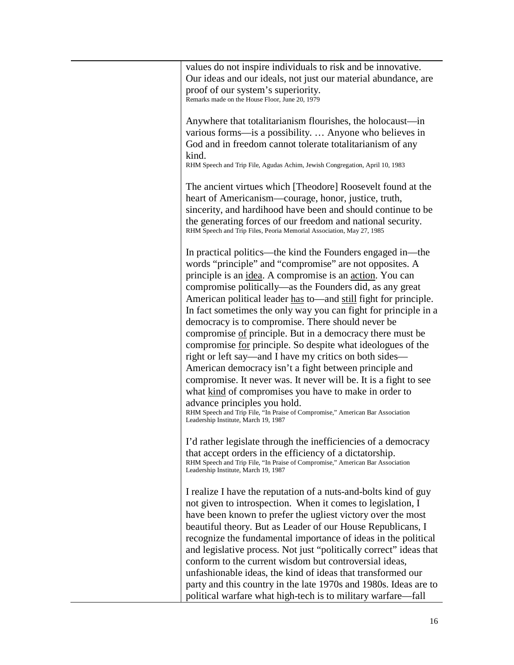| values do not inspire individuals to risk and be innovative.<br>Our ideas and our ideals, not just our material abundance, are                                                                                                                                                                                                                                                                                                                                                                                                                                                                                                                                                                                                                                                                                                                                                                                                                                                                        |
|-------------------------------------------------------------------------------------------------------------------------------------------------------------------------------------------------------------------------------------------------------------------------------------------------------------------------------------------------------------------------------------------------------------------------------------------------------------------------------------------------------------------------------------------------------------------------------------------------------------------------------------------------------------------------------------------------------------------------------------------------------------------------------------------------------------------------------------------------------------------------------------------------------------------------------------------------------------------------------------------------------|
| proof of our system's superiority.<br>Remarks made on the House Floor, June 20, 1979                                                                                                                                                                                                                                                                                                                                                                                                                                                                                                                                                                                                                                                                                                                                                                                                                                                                                                                  |
| Anywhere that totalitarianism flourishes, the holocaust—in<br>various forms—is a possibility.  Anyone who believes in<br>God and in freedom cannot tolerate totalitarianism of any<br>kind.<br>RHM Speech and Trip File, Agudas Achim, Jewish Congregation, April 10, 1983                                                                                                                                                                                                                                                                                                                                                                                                                                                                                                                                                                                                                                                                                                                            |
| The ancient virtues which [Theodore] Roosevelt found at the<br>heart of Americanism—courage, honor, justice, truth,<br>sincerity, and hardihood have been and should continue to be<br>the generating forces of our freedom and national security.<br>RHM Speech and Trip Files, Peoria Memorial Association, May 27, 1985                                                                                                                                                                                                                                                                                                                                                                                                                                                                                                                                                                                                                                                                            |
| In practical politics—the kind the Founders engaged in—the<br>words "principle" and "compromise" are not opposites. A<br>principle is an <i>idea</i> . A compromise is an <i>action</i> . You can<br>compromise politically-as the Founders did, as any great<br>American political leader has to—and still fight for principle.<br>In fact sometimes the only way you can fight for principle in a<br>democracy is to compromise. There should never be<br>compromise of principle. But in a democracy there must be<br>compromise <u>for</u> principle. So despite what ideologues of the<br>right or left say—and I have my critics on both sides—<br>American democracy isn't a fight between principle and<br>compromise. It never was. It never will be. It is a fight to see<br>what kind of compromises you have to make in order to<br>advance principles you hold.<br>RHM Speech and Trip File, "In Praise of Compromise," American Bar Association<br>Leadership Institute, March 19, 1987 |
| I'd rather legislate through the inefficiencies of a democracy<br>that accept orders in the efficiency of a dictatorship.<br>RHM Speech and Trip File, "In Praise of Compromise," American Bar Association<br>Leadership Institute, March 19, 1987                                                                                                                                                                                                                                                                                                                                                                                                                                                                                                                                                                                                                                                                                                                                                    |
| I realize I have the reputation of a nuts-and-bolts kind of guy<br>not given to introspection. When it comes to legislation, I<br>have been known to prefer the ugliest victory over the most<br>beautiful theory. But as Leader of our House Republicans, I<br>recognize the fundamental importance of ideas in the political<br>and legislative process. Not just "politically correct" ideas that<br>conform to the current wisdom but controversial ideas,<br>unfashionable ideas, the kind of ideas that transformed our<br>party and this country in the late 1970s and 1980s. Ideas are to<br>political warfare what high-tech is to military warfare-fall                                                                                                                                                                                                                                                                                                                                     |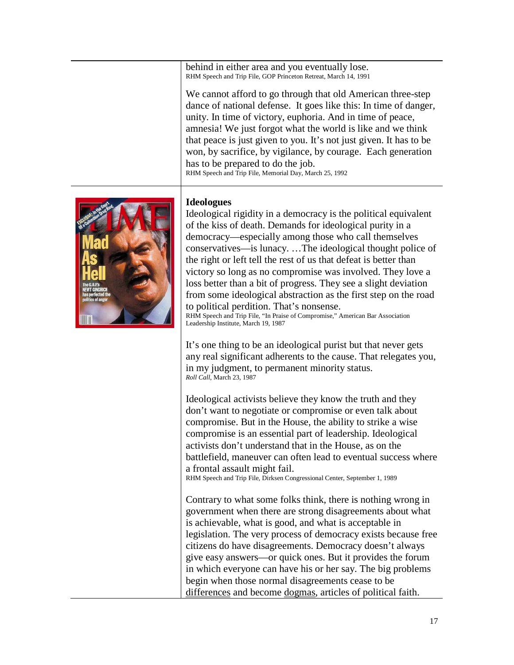behind in either area and you eventually lose. RHM Speech and Trip File, GOP Princeton Retreat, March 14, 1991

We cannot afford to go through that old American three-step dance of national defense. It goes like this: In time of danger, unity. In time of victory, euphoria. And in time of peace, amnesia! We just forgot what the world is like and we think that peace is just given to you. It's not just given. It has to be won, by sacrifice, by vigilance, by courage. Each generation has to be prepared to do the job. RHM Speech and Trip File, Memorial Day, March 25, 1992



### <span id="page-16-0"></span>**Ideologues**

Ideological rigidity in a democracy is the political equivalent of the kiss of death. Demands for ideological purity in a democracy—especially among those who call themselves conservatives—is lunacy. …The ideological thought police of the right or left tell the rest of us that defeat is better than victory so long as no compromise was involved. They love a loss better than a bit of progress. They see a slight deviation from some ideological abstraction as the first step on the road to political perdition. That's nonsense. RHM Speech and Trip File, "In Praise of Compromise," American Bar Association Leadership Institute, March 19, 1987

It's one thing to be an ideological purist but that never gets any real significant adherents to the cause. That relegates you, in my judgment, to permanent minority status. *Roll Call*, March 23, 1987

Ideological activists believe they know the truth and they don't want to negotiate or compromise or even talk about compromise. But in the House, the ability to strike a wise compromise is an essential part of leadership. Ideological activists don't understand that in the House, as on the battlefield, maneuver can often lead to eventual success where a frontal assault might fail.

RHM Speech and Trip File, Dirksen Congressional Center, September 1, 1989

Contrary to what some folks think, there is nothing wrong in government when there are strong disagreements about what is achievable, what is good, and what is acceptable in legislation. The very process of democracy exists because free citizens do have disagreements. Democracy doesn't always give easy answers—or quick ones. But it provides the forum in which everyone can have his or her say. The big problems begin when those normal disagreements cease to be differences and become dogmas, articles of political faith.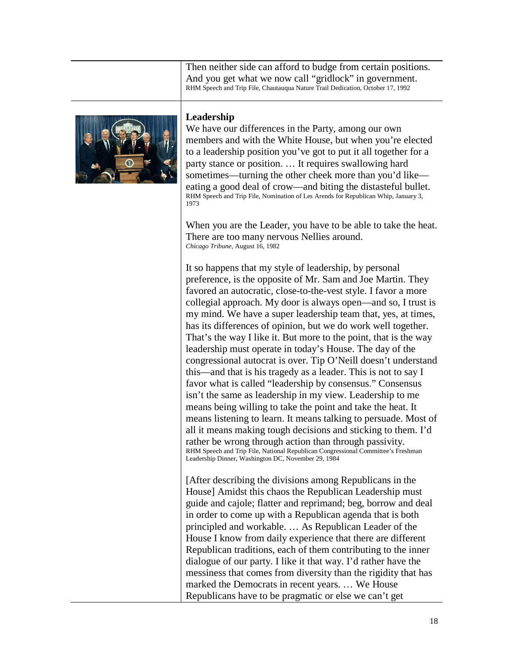Then neither side can afford to budge from certain positions. And you get what we now call "gridlock" in government. RHM Speech and Trip File, Chautauqua Nature Trail Dedication, October 17, 1992



#### <span id="page-17-0"></span>**Leadership**

We have our differences in the Party, among our own members and with the White House, but when you're elected to a leadership position you've got to put it all together for a party stance or position. … It requires swallowing hard sometimes—turning the other cheek more than you'd like eating a good deal of crow—and biting the distasteful bullet. RHM Speech and Trip File, Nomination of Les Arends for Republican Whip, January 3, 1973

When you are the Leader, you have to be able to take the heat. There are too many nervous Nellies around. *Chicago Tribune*, August 16, 1982

It so happens that my style of leadership, by personal preference, is the opposite of Mr. Sam and Joe Martin. They favored an autocratic, close-to-the-vest style. I favor a more collegial approach. My door is always open—and so, I trust is my mind. We have a super leadership team that, yes, at times, has its differences of opinion, but we do work well together. That's the way I like it. But more to the point, that is the way leadership must operate in today's House. The day of the congressional autocrat is over. Tip O'Neill doesn't understand this—and that is his tragedy as a leader. This is not to say I favor what is called "leadership by consensus." Consensus isn't the same as leadership in my view. Leadership to me means being willing to take the point and take the heat. It means listening to learn. It means talking to persuade. Most of all it means making tough decisions and sticking to them. I'd rather be wrong through action than through passivity. RHM Speech and Trip File, National Republican Congressional Committee's Freshman Leadership Dinner, Washington DC, November 29, 1984

[After describing the divisions among Republicans in the House] Amidst this chaos the Republican Leadership must guide and cajole; flatter and reprimand; beg, borrow and deal in order to come up with a Republican agenda that is both principled and workable. … As Republican Leader of the House I know from daily experience that there are different Republican traditions, each of them contributing to the inner dialogue of our party. I like it that way. I'd rather have the messiness that comes from diversity than the rigidity that has marked the Democrats in recent years. … We House Republicans have to be pragmatic or else we can't get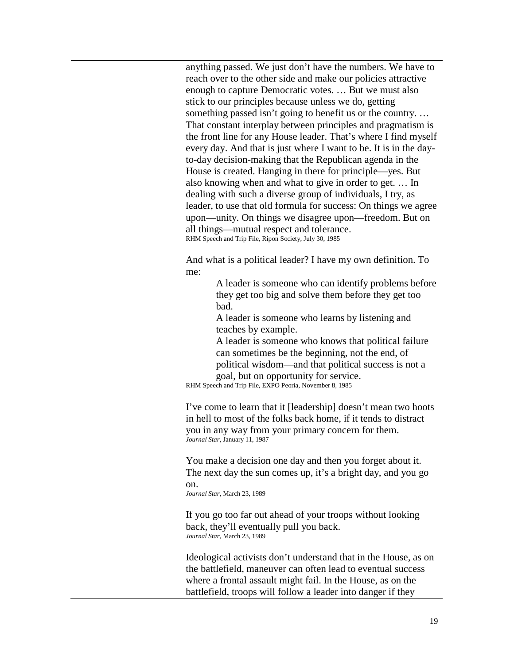anything passed. We just don't have the numbers. We have to reach over to the other side and make our policies attractive enough to capture Democratic votes. … But we must also stick to our principles because unless we do, getting something passed isn't going to benefit us or the country. … That constant interplay between principles and pragmatism is the front line for any House leader. That's where I find myself every day. And that is just where I want to be. It is in the dayto-day decision-making that the Republican agenda in the House is created. Hanging in there for principle—yes. But also knowing when and what to give in order to get. … In dealing with such a diverse group of individuals, I try, as leader, to use that old formula for success: On things we agree upon—unity. On things we disagree upon—freedom. But on all things—mutual respect and tolerance. RHM Speech and Trip File, Ripon Society, July 30, 1985 And what is a political leader? I have my own definition. To me: A leader is someone who can identify problems before they get too big and solve them before they get too bad. A leader is someone who learns by listening and teaches by example. A leader is someone who knows that political failure can sometimes be the beginning, not the end, of political wisdom—and that political success is not a goal, but on opportunity for service. RHM Speech and Trip File, EXPO Peoria, November 8, 1985 I've come to learn that it [leadership] doesn't mean two hoots in hell to most of the folks back home, if it tends to distract you in any way from your primary concern for them. *Journal Star*, January 11, 1987 You make a decision one day and then you forget about it. The next day the sun comes up, it's a bright day, and you go on. *Journal Star*, March 23, 1989 If you go too far out ahead of your troops without looking back, they'll eventually pull you back. *Journal Star*, March 23, 1989 Ideological activists don't understand that in the House, as on the battlefield, maneuver can often lead to eventual success where a frontal assault might fail. In the House, as on the

battlefield, troops will follow a leader into danger if they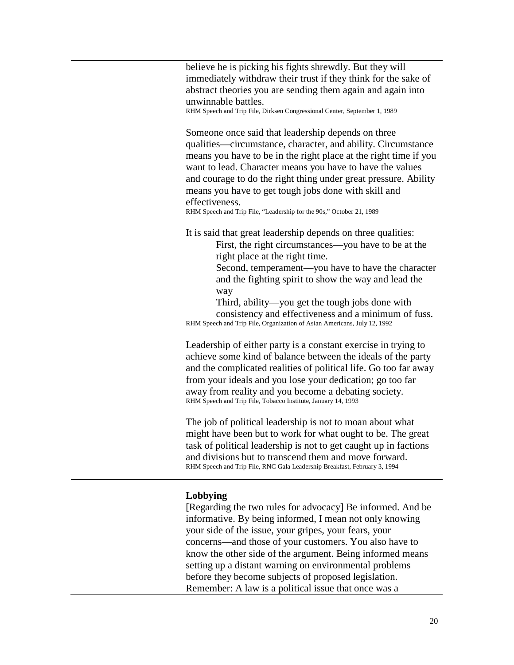<span id="page-19-0"></span>

| believe he is picking his fights shrewdly. But they will<br>immediately withdraw their trust if they think for the sake of<br>abstract theories you are sending them again and again into<br>unwinnable battles.<br>RHM Speech and Trip File, Dirksen Congressional Center, September 1, 1989                                                                                                                                                                                               |
|---------------------------------------------------------------------------------------------------------------------------------------------------------------------------------------------------------------------------------------------------------------------------------------------------------------------------------------------------------------------------------------------------------------------------------------------------------------------------------------------|
| Someone once said that leadership depends on three<br>qualities—circumstance, character, and ability. Circumstance<br>means you have to be in the right place at the right time if you<br>want to lead. Character means you have to have the values<br>and courage to do the right thing under great pressure. Ability<br>means you have to get tough jobs done with skill and<br>effectiveness.<br>RHM Speech and Trip File, "Leadership for the 90s," October 21, 1989                    |
| It is said that great leadership depends on three qualities:<br>First, the right circumstances—you have to be at the<br>right place at the right time.<br>Second, temperament-you have to have the character<br>and the fighting spirit to show the way and lead the<br>way<br>Third, ability—you get the tough jobs done with<br>consistency and effectiveness and a minimum of fuss.<br>RHM Speech and Trip File, Organization of Asian Americans, July 12, 1992                          |
| Leadership of either party is a constant exercise in trying to<br>achieve some kind of balance between the ideals of the party<br>and the complicated realities of political life. Go too far away<br>from your ideals and you lose your dedication; go too far<br>away from reality and you become a debating society.<br>RHM Speech and Trip File, Tobacco Institute, January 14, 1993                                                                                                    |
| The job of political leadership is not to moan about what<br>might have been but to work for what ought to be. The great<br>task of political leadership is not to get caught up in factions<br>and divisions but to transcend them and move forward.<br>RHM Speech and Trip File, RNC Gala Leadership Breakfast, February 3, 1994                                                                                                                                                          |
| Lobbying<br>[Regarding the two rules for advocacy] Be informed. And be<br>informative. By being informed, I mean not only knowing<br>your side of the issue, your gripes, your fears, your<br>concerns—and those of your customers. You also have to<br>know the other side of the argument. Being informed means<br>setting up a distant warning on environmental problems<br>before they become subjects of proposed legislation.<br>Remember: A law is a political issue that once was a |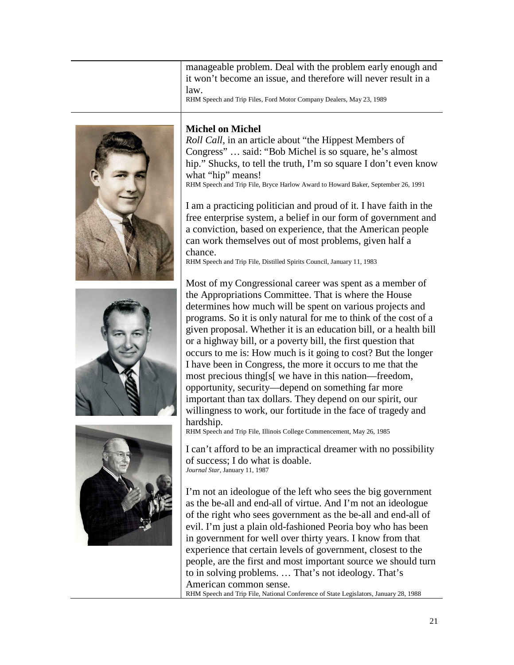manageable problem. Deal with the problem early enough and it won't become an issue, and therefore will never result in a law.

RHM Speech and Trip Files, Ford Motor Company Dealers, May 23, 1989







## <span id="page-20-0"></span>**Michel on Michel**

*Roll Call*, in an article about "the Hippest Members of Congress" … said: "Bob Michel is so square, he's almost hip." Shucks, to tell the truth, I'm so square I don't even know what "hip" means! RHM Speech and Trip File, Bryce Harlow Award to Howard Baker, September 26, 1991

I am a practicing politician and proud of it. I have faith in the free enterprise system, a belief in our form of government and a conviction, based on experience, that the American people can work themselves out of most problems, given half a chance.

RHM Speech and Trip File, Distilled Spirits Council, January 11, 1983

Most of my Congressional career was spent as a member of the Appropriations Committee. That is where the House determines how much will be spent on various projects and programs. So it is only natural for me to think of the cost of a given proposal. Whether it is an education bill, or a health bill or a highway bill, or a poverty bill, the first question that occurs to me is: How much is it going to cost? But the longer I have been in Congress, the more it occurs to me that the most precious thing[s[ we have in this nation—freedom, opportunity, security—depend on something far more important than tax dollars. They depend on our spirit, our willingness to work, our fortitude in the face of tragedy and hardship.

RHM Speech and Trip File, Illinois College Commencement, May 26, 1985

I can't afford to be an impractical dreamer with no possibility of success; I do what is doable. *Journal Star*, January 11, 1987

I'm not an ideologue of the left who sees the big government as the be-all and end-all of virtue. And I'm not an ideologue of the right who sees government as the be-all and end-all of evil. I'm just a plain old-fashioned Peoria boy who has been in government for well over thirty years. I know from that experience that certain levels of government, closest to the people, are the first and most important source we should turn to in solving problems. … That's not ideology. That's American common sense.

RHM Speech and Trip File, National Conference of State Legislators, January 28, 1988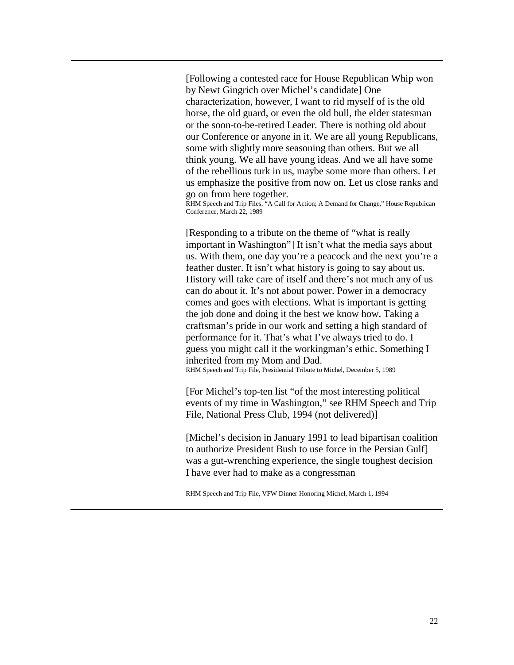[Following a contested race for House Republican Whip won by Newt Gingrich over Michel's candidate] One characterization, however, I want to rid myself of is the old horse, the old guard, or even the old bull, the elder statesman or the soon-to-be-retired Leader. There is nothing old about our Conference or anyone in it. We are all young Republicans, some with slightly more seasoning than others. But we all think young. We all have young ideas. And we all have some of the rebellious turk in us, maybe some more than others. Let us emphasize the positive from now on. Let us close ranks and go on from here together.

RHM Speech and Trip Files, "A Call for Action; A Demand for Change," House Republican Conference, March 22, 1989

[Responding to a tribute on the theme of "what is really important in Washington"] It isn't what the media says about us. With them, one day you're a peacock and the next you're a feather duster. It isn't what history is going to say about us. History will take care of itself and there's not much any of us can do about it. It's not about power. Power in a democracy comes and goes with elections. What is important is getting the job done and doing it the best we know how. Taking a craftsman's pride in our work and setting a high standard of performance for it. That's what I've always tried to do. I guess you might call it the workingman's ethic. Something I inherited from my Mom and Dad.

RHM Speech and Trip File, Presidential Tribute to Michel, December 5, 1989

[For Michel's top-ten list "of the most interesting political events of my time in Washington," see RHM Speech and Trip File, National Press Club, 1994 (not delivered)]

[Michel's decision in January 1991 to lead bipartisan coalition to authorize President Bush to use force in the Persian Gulf] was a gut-wrenching experience, the single toughest decision I have ever had to make as a congressman

RHM Speech and Trip File, VFW Dinner Honoring Michel, March 1, 1994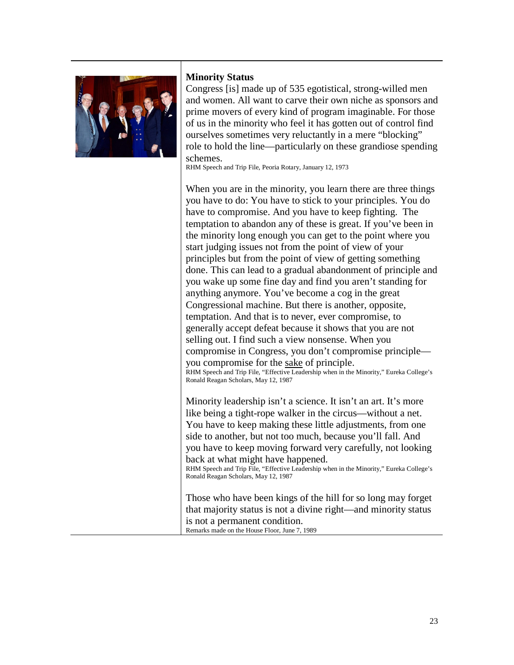

## <span id="page-22-0"></span>**Minority Status**

Congress [is] made up of 535 egotistical, strong-willed men and women. All want to carve their own niche as sponsors and prime movers of every kind of program imaginable. For those of us in the minority who feel it has gotten out of control find ourselves sometimes very reluctantly in a mere "blocking" role to hold the line—particularly on these grandiose spending schemes.

RHM Speech and Trip File, Peoria Rotary, January 12, 1973

When you are in the minority, you learn there are three things you have to do: You have to stick to your principles. You do have to compromise. And you have to keep fighting. The temptation to abandon any of these is great. If you've been in the minority long enough you can get to the point where you start judging issues not from the point of view of your principles but from the point of view of getting something done. This can lead to a gradual abandonment of principle and you wake up some fine day and find you aren't standing for anything anymore. You've become a cog in the great Congressional machine. But there is another, opposite, temptation. And that is to never, ever compromise, to generally accept defeat because it shows that you are not selling out. I find such a view nonsense. When you compromise in Congress, you don't compromise principle you compromise for the sake of principle. RHM Speech and Trip File, "Effective Leadership when in the Minority," Eureka College's Ronald Reagan Scholars, May 12, 1987

Minority leadership isn't a science. It isn't an art. It's more like being a tight-rope walker in the circus—without a net. You have to keep making these little adjustments, from one side to another, but not too much, because you'll fall. And you have to keep moving forward very carefully, not looking back at what might have happened.

RHM Speech and Trip File, "Effective Leadership when in the Minority," Eureka College's Ronald Reagan Scholars, May 12, 1987

Those who have been kings of the hill for so long may forget that majority status is not a divine right—and minority status is not a permanent condition. Remarks made on the House Floor, June 7, 1989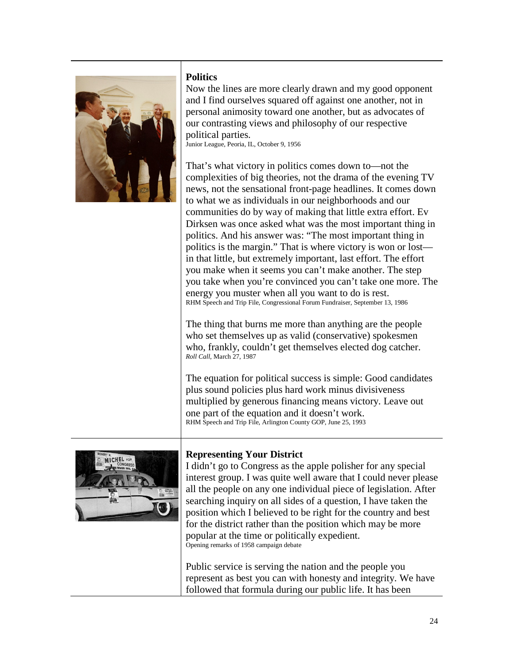

## <span id="page-23-0"></span>**Politics**

Now the lines are more clearly drawn and my good opponent and I find ourselves squared off against one another, not in personal animosity toward one another, but as advocates of our contrasting views and philosophy of our respective political parties. Junior League, Peoria, IL, October 9, 1956

That's what victory in politics comes down to—not the complexities of big theories, not the drama of the evening TV news, not the sensational front-page headlines. It comes down to what we as individuals in our neighborhoods and our communities do by way of making that little extra effort. Ev Dirksen was once asked what was the most important thing in politics. And his answer was: "The most important thing in politics is the margin." That is where victory is won or lost in that little, but extremely important, last effort. The effort you make when it seems you can't make another. The step you take when you're convinced you can't take one more. The energy you muster when all you want to do is rest. RHM Speech and Trip File, Congressional Forum Fundraiser, September 13, 1986

The thing that burns me more than anything are the people who set themselves up as valid (conservative) spokesmen who, frankly, couldn't get themselves elected dog catcher. *Roll Call*, March 27, 1987

The equation for political success is simple: Good candidates plus sound policies plus hard work minus divisiveness multiplied by generous financing means victory. Leave out one part of the equation and it doesn't work. RHM Speech and Trip File, Arlington County GOP, June 25, 1993



## <span id="page-23-1"></span>**Representing Your District**

I didn't go to Congress as the apple polisher for any special interest group. I was quite well aware that I could never please all the people on any one individual piece of legislation. After searching inquiry on all sides of a question, I have taken the position which I believed to be right for the country and best for the district rather than the position which may be more popular at the time or politically expedient. Opening remarks of 1958 campaign debate

Public service is serving the nation and the people you represent as best you can with honesty and integrity. We have followed that formula during our public life. It has been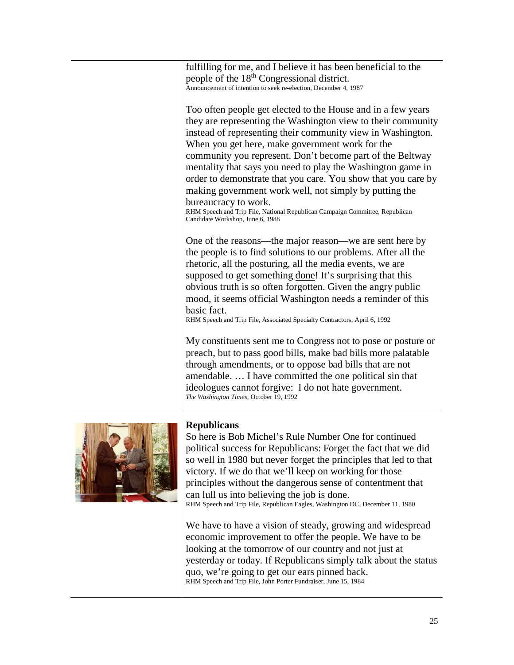| fulfilling for me, and I believe it has been beneficial to the<br>people of the 18 <sup>th</sup> Congressional district.<br>Announcement of intention to seek re-election, December 4, 1987                                                                                                                                                                                                                                                                                                                                                                                                                                                       |
|---------------------------------------------------------------------------------------------------------------------------------------------------------------------------------------------------------------------------------------------------------------------------------------------------------------------------------------------------------------------------------------------------------------------------------------------------------------------------------------------------------------------------------------------------------------------------------------------------------------------------------------------------|
| Too often people get elected to the House and in a few years<br>they are representing the Washington view to their community<br>instead of representing their community view in Washington.<br>When you get here, make government work for the<br>community you represent. Don't become part of the Beltway<br>mentality that says you need to play the Washington game in<br>order to demonstrate that you care. You show that you care by<br>making government work well, not simply by putting the<br>bureaucracy to work.<br>RHM Speech and Trip File, National Republican Campaign Committee, Republican<br>Candidate Workshop, June 6, 1988 |
| One of the reasons—the major reason—we are sent here by<br>the people is to find solutions to our problems. After all the<br>rhetoric, all the posturing, all the media events, we are<br>supposed to get something done! It's surprising that this<br>obvious truth is so often forgotten. Given the angry public<br>mood, it seems official Washington needs a reminder of this<br>basic fact.<br>RHM Speech and Trip File, Associated Specialty Contractors, April 6, 1992                                                                                                                                                                     |
| My constituents sent me to Congress not to pose or posture or<br>preach, but to pass good bills, make bad bills more palatable<br>through amendments, or to oppose bad bills that are not<br>amendable.  I have committed the one political sin that<br>ideologues cannot forgive: I do not hate government.<br>The Washington Times, October 19, 1992                                                                                                                                                                                                                                                                                            |
| <b>Republicans</b><br>So here is Bob Michel's Rule Number One for continued<br>political success for Republicans: Forget the fact that we did                                                                                                                                                                                                                                                                                                                                                                                                                                                                                                     |



<span id="page-24-0"></span>so well in 1980 but never forget the principles that led to that victory. If we do that we'll keep on working for those principles without the dangerous sense of contentment that can lull us into believing the job is done. RHM Speech and Trip File, Republican Eagles, Washington DC, December 11, 1980

We have to have a vision of steady, growing and widespread economic improvement to offer the people. We have to be looking at the tomorrow of our country and not just at yesterday or today. If Republicans simply talk about the status quo, we're going to get our ears pinned back. RHM Speech and Trip File, John Porter Fundraiser, June 15, 1984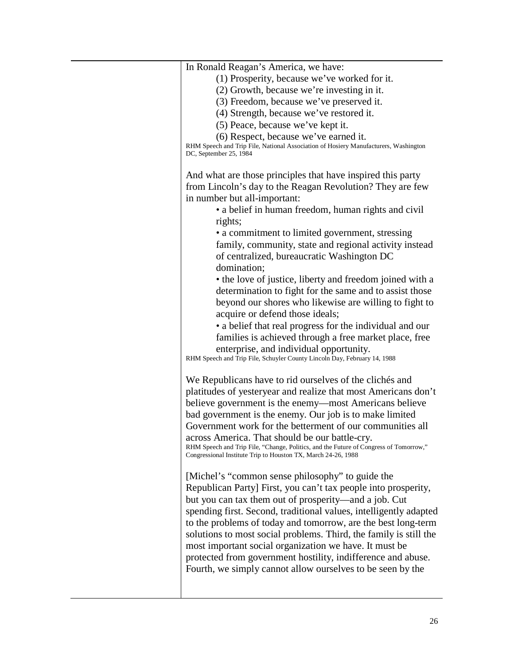| In Ronald Reagan's America, we have:                                                                                                    |
|-----------------------------------------------------------------------------------------------------------------------------------------|
| (1) Prosperity, because we've worked for it.                                                                                            |
| (2) Growth, because we're investing in it.                                                                                              |
| (3) Freedom, because we've preserved it.                                                                                                |
| (4) Strength, because we've restored it.                                                                                                |
| (5) Peace, because we've kept it.                                                                                                       |
| (6) Respect, because we've earned it.                                                                                                   |
| RHM Speech and Trip File, National Association of Hosiery Manufacturers, Washington<br>DC, September 25, 1984                           |
| And what are those principles that have inspired this party                                                                             |
| from Lincoln's day to the Reagan Revolution? They are few                                                                               |
| in number but all-important:                                                                                                            |
| • a belief in human freedom, human rights and civil                                                                                     |
|                                                                                                                                         |
| rights;<br>• a commitment to limited government, stressing                                                                              |
|                                                                                                                                         |
| family, community, state and regional activity instead<br>of centralized, bureaucratic Washington DC                                    |
| domination;                                                                                                                             |
| • the love of justice, liberty and freedom joined with a                                                                                |
| determination to fight for the same and to assist those                                                                                 |
| beyond our shores who likewise are willing to fight to                                                                                  |
| acquire or defend those ideals;                                                                                                         |
| • a belief that real progress for the individual and our                                                                                |
| families is achieved through a free market place, free                                                                                  |
| enterprise, and individual opportunity.<br>RHM Speech and Trip File, Schuyler County Lincoln Day, February 14, 1988                     |
| We Republicans have to rid ourselves of the clichés and                                                                                 |
| platitudes of yesteryear and realize that most Americans don't                                                                          |
| believe government is the enemy—most Americans believe                                                                                  |
|                                                                                                                                         |
| bad government is the enemy. Our job is to make limited                                                                                 |
| Government work for the betterment of our communities all                                                                               |
| across America. That should be our battle-cry.<br>RHM Speech and Trip File, "Change, Politics, and the Future of Congress of Tomorrow," |
| Congressional Institute Trip to Houston TX, March 24-26, 1988                                                                           |
| [Michel's "common sense philosophy" to guide the                                                                                        |
| Republican Party] First, you can't tax people into prosperity,                                                                          |
| but you can tax them out of prosperity—and a job. Cut                                                                                   |
| spending first. Second, traditional values, intelligently adapted                                                                       |
| to the problems of today and tomorrow, are the best long-term                                                                           |
| solutions to most social problems. Third, the family is still the                                                                       |
|                                                                                                                                         |
| most important social organization we have. It must be                                                                                  |
| protected from government hostility, indifference and abuse.                                                                            |
| Fourth, we simply cannot allow ourselves to be seen by the                                                                              |
|                                                                                                                                         |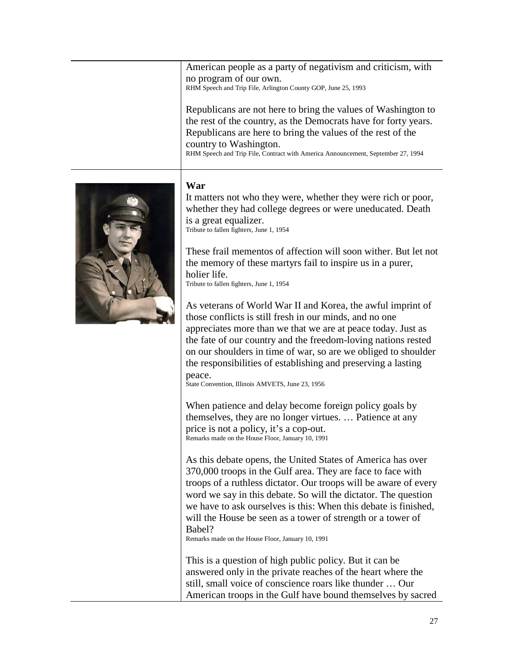American people as a party of negativism and criticism, with no program of our own. RHM Speech and Trip File, Arlington County GOP, June 25, 1993

Republicans are not here to bring the values of Washington to the rest of the country, as the Democrats have for forty years. Republicans are here to bring the values of the rest of the country to Washington. RHM Speech and Trip File, Contract with America Announcement, September 27, 1994

# <span id="page-26-0"></span>**War**

It matters not who they were, whether they were rich or poor, whether they had college degrees or were uneducated. Death is a great equalizer. Tribute to fallen fighters, June 1, 1954

These frail mementos of affection will soon wither. But let not the memory of these martyrs fail to inspire us in a purer, holier life. Tribute to fallen fighters, June 1, 1954

As veterans of World War II and Korea, the awful imprint of those conflicts is still fresh in our minds, and no one appreciates more than we that we are at peace today. Just as the fate of our country and the freedom-loving nations rested on our shoulders in time of war, so are we obliged to shoulder the responsibilities of establishing and preserving a lasting peace.

State Convention, Illinois AMVETS, June 23, 1956

When patience and delay become foreign policy goals by themselves, they are no longer virtues. … Patience at any price is not a policy, it's a cop-out. Remarks made on the House Floor, January 10, 1991

As this debate opens, the United States of America has over 370,000 troops in the Gulf area. They are face to face with troops of a ruthless dictator. Our troops will be aware of every word we say in this debate. So will the dictator. The question we have to ask ourselves is this: When this debate is finished, will the House be seen as a tower of strength or a tower of Babel?

Remarks made on the House Floor, January 10, 1991

This is a question of high public policy. But it can be answered only in the private reaches of the heart where the still, small voice of conscience roars like thunder … Our American troops in the Gulf have bound themselves by sacred